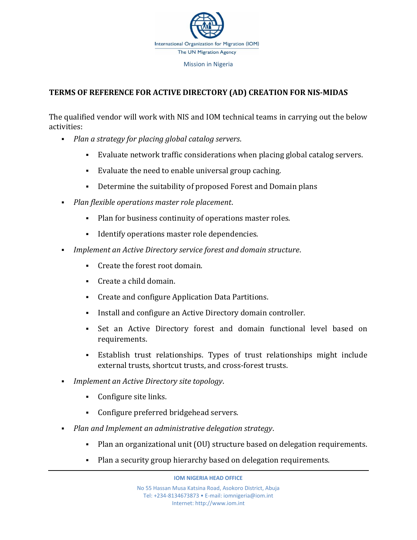

## **TERMS OF REFERENCE FOR ACTIVE DIRECTORY (AD) CREATION FOR NIS-MIDAS**

The qualified vendor will work with NIS and IOM technical teams in carrying out the below activities:

- *Plan a strategy for placing global catalog servers*.
	- Evaluate network traffic considerations when placing global catalog servers.
	- Evaluate the need to enable universal group caching.
	- **•** Determine the suitability of proposed Forest and Domain plans
- *Plan flexible operations master role placement*.
	- Plan for business continuity of operations master roles.
	- Identify operations master role dependencies.
- *Implement an Active Directory service forest and domain structure.* 
	- Create the forest root domain.
	- Create a child domain.
	- Create and configure Application Data Partitions.
	- **Install and configure an Active Directory domain controller.**
	- Set an Active Directory forest and domain functional level based on requirements.
	- Establish trust relationships. Types of trust relationships might include external trusts, shortcut trusts, and cross-forest trusts.
- *Implement an Active Directory site topology.* 
	- Configure site links.
	- Configure preferred bridgehead servers.
- *Plan and Implement an administrative delegation strategy*.
	- Plan an organizational unit (OU) structure based on delegation requirements.
	- Plan a security group hierarchy based on delegation requirements.